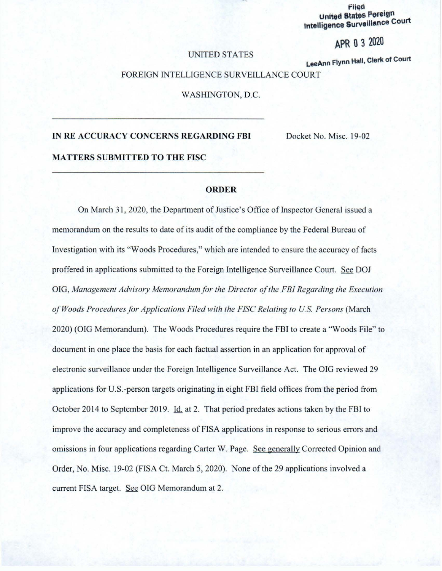**Filed United States Poreign Intelligence Surveillance Court** 

# **APR O** 3 2020

### UNITED STATES

**LeeAnn Flynn Hall, Clerk of Court** 

### FOREIGN INTELLIGENCE SURVEILLANCE COURT

WASHINGTON, D.C.

## **IN RE ACCURACY CONCERNS REGARDING FBI**

Docket No. Misc. 19-02

**MATTERS SUBMITTED TO THE FISC** 

#### **ORDER**

On March 3 1, 2020 , the Department of Justice 's Office of Inspector Genera l issued a memorandum on the results to date of its audit of the compliance by the Federal Bureau of Investigation with its "Woods Procedures," which are intended to ensure the accuracy of facts proffered in applications submi tted to the Foreign Intelligence Survei llance Court. See DOJ OIG, *Management Adviso,y Memorandum for the Director of the FBI Regardin g the Execution of Woods Procedures for Applications Filed with the FJSC Relating to US. Persons* (March 2020) (OIG Memorandum). The Woods Procedures require the FBI to create a "Woods File" to document in one place the basis for each factual assertion in an application for approval of electronic surveillance under the Foreign Intelligence Surveillance Act. The OIG reviewed 29 applications for U.S.-person targets originating in eight FBI field offices from the period from October 2014 to September 2019. Id. at 2. That period predates actions taken by the FBI to improve the accuracy and completeness of FISA applications in response to serious errors and omissions in four applications regarding Carter W. Page. See generally Corrected Opinion and Order, No. Misc. 19-02 (FISA Ct. March 5, 2020). None of the 29 applications involved a current FISA target. See OIG Memorandum at 2.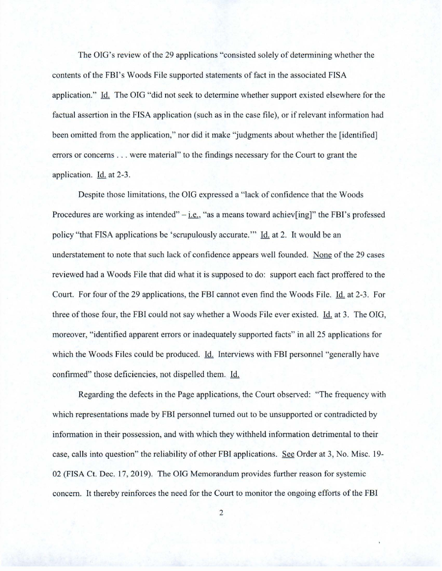The OIG's review of the 29 applications "consisted solely of determining whether the contents of the FBI's Woods File supported statements of fact in the associated FISA application." Id. The OIG "did not seek to determine whether support existed elsewhere for the factual assertion in the FISA application (such as in the case file), or if relevant information had been omitted from the application," nor did it make "judgments about whether the [identified] errors or concerns . . . were material" to the findings necessary for the Court to grant the application. Id. at 2-3.

Despite those limitations, the OIG expressed a "lack of confidence that the Woods Procedures are working as intended"  $-i.e.,$  "as a means toward achiev[ing]" the FBI's professed policy "that FISA applications be 'scrupulously accurate." Id. at 2. It would be an understatement to note that such lack of confidence appears well founded. None of the 29 cases reviewed had a Woods File that did what it is supposed to do: support each fact proffered to the Court. For four of the 29 applications, the FBI cannot even find the Woods File. Id. at 2-3. For three of those four, the FBI could not say whether a Woods File ever existed. Id. at 3. The OIG, moreover, "identified apparent errors or inadequately supported facts" in all 25 applications for which the Woods Files could be produced. Id. Interviews with FBI personnel "generally have confirmed" those deficiencies, not dispelled them. Id.

Regarding the defects in the Page applications, the Court observed: "The frequency with which representations made by FBI personnel turned out to be unsupported or contradicted by information in their possession, and with which they withheld information detrimental to their case, calls into question" the reliability of other FBI applications. See Order at 3, No. Misc. 19-02 (FISA Ct. Dec. 17, 2019). The OIG Memorandum provides further reason for systemic concern. It thereby reinforce s the need for the Court to monitor the ongoing efforts of the FBI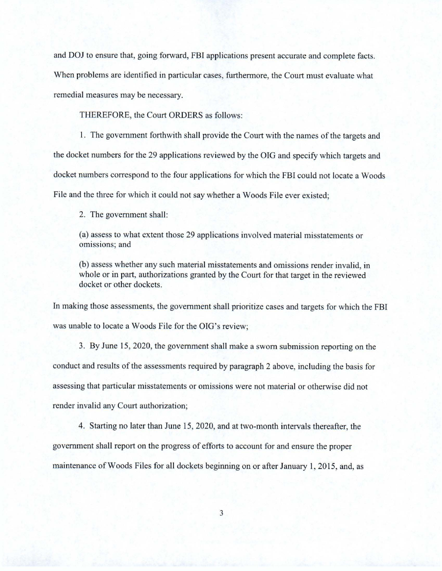and DOJ to ensure that, going forward, FBI applications present accurate and complete facts. When problems are identified in particular cases, furthermore, the Court must evaluate what remedial measures may be necessary.

THEREFORE, the Court ORDERS as follows:

1. The government forthwith shall provide the Court with the names of the targets and the docket numbers for the 29 applications reviewed by the OIG and specify which targets and docket numbers correspond to the four applications for which the FBI could not locate a Woods File and the three for which it could not say whether a Woods File ever existed;

2. The government shall:

(a) assess to what extent those 29 applications involved material misstatements or omissions; and

(b) assess whether any such material misstatements and omissions render invalid, in whole or in part, authorizations granted by the Court for that target in the reviewed docket or other dockets .

In making those assessments, the government shall prioritize cases and targets for which the FBI was unable to locate a Woods File for the OIG's review;

3. By June 15, 2020, the government shall make a sworn submission reporting on the conduct and results of the assessments required by paragraph 2 above , including the basis for assessing that particular misstatements or omissions were not material or otherwise did not render invalid any Court authorization;

4. Starting no later than June 15, 2020, and at two-month intervals thereafter, the government shall report on the progress of efforts to account for and ensure the proper maintenance of Woods Files for all dockets beginning on or after January 1, 2015, and, as